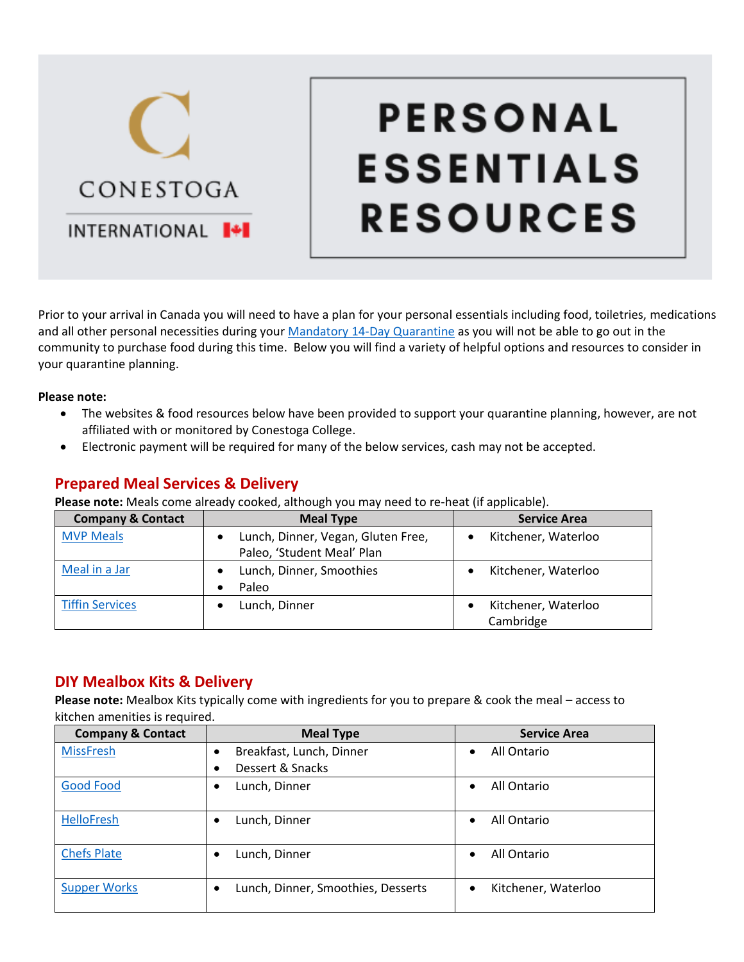# CONESTOGA INTERNATIONAL **I+I**

# **PERSONAL ESSENTIALS RESOURCES**

Prior to your arrival in Canada you will need to have a plan for your personal essentials including food, toiletries, medications and all other personal necessities during your [Mandatory 14-Day Quarantine](https://www.canada.ca/en/public-health/services/publications/diseases-conditions/2019-novel-coronavirus-information-sheet.html) as you will not be able to go out in the community to purchase food during this time. Below you will find a variety of helpful options and resources to consider in your quarantine planning.

#### **Please note:**

- The websites & food resources below have been provided to support your quarantine planning, however, are not affiliated with or monitored by Conestoga College.
- Electronic payment will be required for many of the below services, cash may not be accepted.

### **Prepared Meal Services & Delivery**

**Please note:** Meals come already cooked, although you may need to re-heat (if applicable).

| <b>Company &amp; Contact</b> | <b>Meal Type</b>                                                              | <b>Service Area</b>              |
|------------------------------|-------------------------------------------------------------------------------|----------------------------------|
| <b>MVP Meals</b>             | Lunch, Dinner, Vegan, Gluten Free,<br>$\bullet$<br>Paleo, 'Student Meal' Plan | Kitchener, Waterloo              |
| Meal in a Jar                | Lunch, Dinner, Smoothies<br>Paleo                                             | Kitchener, Waterloo              |
| <b>Tiffin Services</b>       | Lunch, Dinner                                                                 | Kitchener, Waterloo<br>Cambridge |

#### **DIY Mealbox Kits & Delivery**

**Please note:** Mealbox Kits typically come with ingredients for you to prepare & cook the meal – access to kitchen amenities is required.

| <b>Company &amp; Contact</b> | <b>Meal Type</b>                        | <b>Service Area</b>              |
|------------------------------|-----------------------------------------|----------------------------------|
| <b>MissFresh</b>             | Breakfast, Lunch, Dinner<br>٠           | All Ontario<br>$\bullet$         |
|                              | Dessert & Snacks<br>$\bullet$           |                                  |
| <b>Good Food</b>             | Lunch, Dinner<br>٠                      | All Ontario<br>$\bullet$         |
| <b>HelloFresh</b>            | Lunch, Dinner<br>٠                      | All Ontario<br>$\bullet$         |
| <b>Chefs Plate</b>           | Lunch, Dinner<br>$\bullet$              | All Ontario<br>$\bullet$         |
| <b>Supper Works</b>          | Lunch, Dinner, Smoothies, Desserts<br>٠ | Kitchener, Waterloo<br>$\bullet$ |